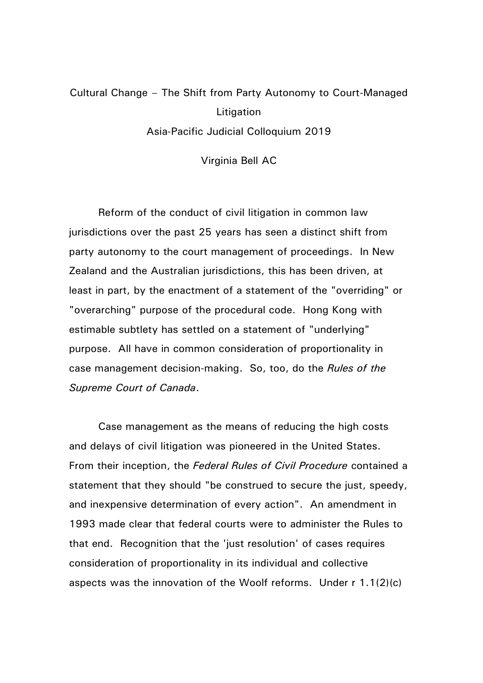## Cultural Change – The Shift from Party Autonomy to Court-Managed **Litigation** Asia-Pacific Judicial Colloquium 2019

Virginia Bell AC

Reform of the conduct of civil litigation in common law jurisdictions over the past 25 years has seen a distinct shift from party autonomy to the court management of proceedings. In New Zealand and the Australian jurisdictions, this has been driven, at least in part, by the enactment of a statement of the "overriding" or "overarching" purpose of the procedural code. Hong Kong with estimable subtlety has settled on a statement of "underlying" purpose. All have in common consideration of proportionality in case management decision-making. So, too, do the *Rules of the Supreme Court of Canada*.

Case management as the means of reducing the high costs and delays of civil litigation was pioneered in the United States. From their inception, the *Federal Rules of Civil Procedure* contained a statement that they should "be construed to secure the just, speedy, and inexpensive determination of every action". An amendment in 1993 made clear that federal courts were to administer the Rules to that end. Recognition that the 'just resolution' of cases requires consideration of proportionality in its individual and collective aspects was the innovation of the Woolf reforms. Under r 1.1(2)(c)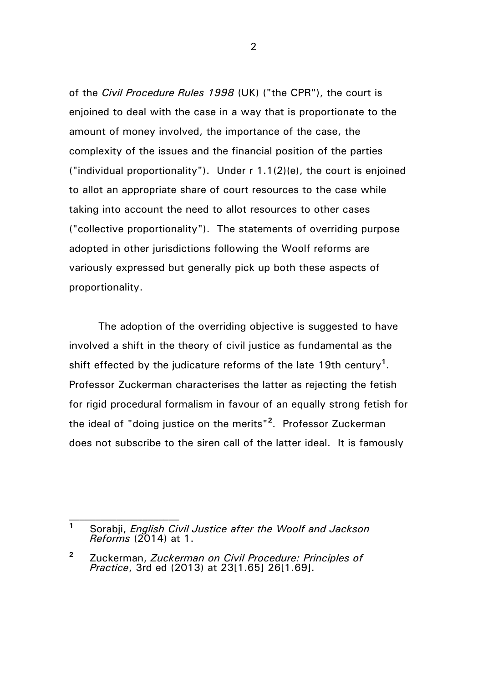of the *Civil Procedure Rules 1998* (UK) ("the CPR"), the court is enjoined to deal with the case in a way that is proportionate to the amount of money involved, the importance of the case, the complexity of the issues and the financial position of the parties ("individual proportionality"). Under r 1.1(2)(e), the court is enjoined to allot an appropriate share of court resources to the case while taking into account the need to allot resources to other cases ("collective proportionality"). The statements of overriding purpose adopted in other jurisdictions following the Woolf reforms are variously expressed but generally pick up both these aspects of proportionality.

The adoption of the overriding objective is suggested to have involved a shift in the theory of civil justice as fundamental as the shift effected by the judicature reforms of the late 19th century**<sup>1</sup>** . Professor Zuckerman characterises the latter as rejecting the fetish for rigid procedural formalism in favour of an equally strong fetish for the ideal of "doing justice on the merits"**<sup>2</sup>** . Professor Zuckerman does not subscribe to the siren call of the latter ideal. It is famously

**<sup>1</sup>** Sorabji, *English Civil Justice after the Woolf and Jackson Reforms* (2014) at 1.

**<sup>2</sup>** Zuckerman, *Zuckerman on Civil Procedure: Principles of Practice*, 3rd ed (2013) at 23[1.65] 26[1.69].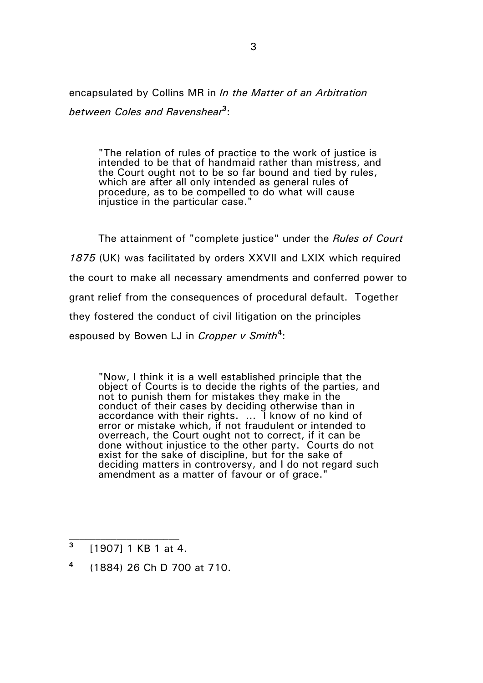encapsulated by Collins MR in *In the Matter of an Arbitration between Coles and Ravenshear***<sup>3</sup>** :

"The relation of rules of practice to the work of justice is intended to be that of handmaid rather than mistress, and the Court ought not to be so far bound and tied by rules, which are after all only intended as general rules of procedure, as to be compelled to do what will cause injustice in the particular case."

The attainment of "complete justice" under the *Rules of Court 1875* (UK) was facilitated by orders XXVII and LXIX which required the court to make all necessary amendments and conferred power to grant relief from the consequences of procedural default. Together they fostered the conduct of civil litigation on the principles espoused by Bowen LJ in *Cropper v Smith***<sup>4</sup>** :

"Now, I think it is a well established principle that the object of Courts is to decide the rights of the parties, and not to punish them for mistakes they make in the conduct of their cases by deciding otherwise than in accordance with their rights. … I know of no kind of error or mistake which, if not fraudulent or intended to overreach, the Court ought not to correct, if it can be done without injustice to the other party. Courts do not exist for the sake of discipline, but for the sake of deciding matters in controversy, and I do not regard such amendment as a matter of favour or of grace."

**<sup>3</sup>** [1907] 1 KB 1 at 4.

**<sup>4</sup>** (1884) 26 Ch D 700 at 710.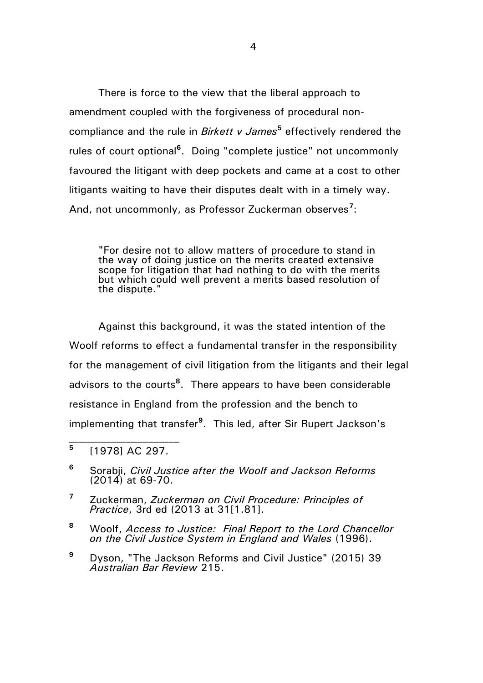There is force to the view that the liberal approach to amendment coupled with the forgiveness of procedural noncompliance and the rule in *Birkett v James***<sup>5</sup>** effectively rendered the rules of court optional**<sup>6</sup>** . Doing "complete justice" not uncommonly favoured the litigant with deep pockets and came at a cost to other litigants waiting to have their disputes dealt with in a timely way. And, not uncommonly, as Professor Zuckerman observes**<sup>7</sup>** :

"For desire not to allow matters of procedure to stand in the way of doing justice on the merits created extensive scope for litigation that had nothing to do with the merits but which could well prevent a merits based resolution of the dispute."

Against this background, it was the stated intention of the Woolf reforms to effect a fundamental transfer in the responsibility for the management of civil litigation from the litigants and their legal advisors to the courts**<sup>8</sup>** . There appears to have been considerable resistance in England from the profession and the bench to implementing that transfer**<sup>9</sup>** . This led, after Sir Rupert Jackson's

**5** [1978] AC 297.

- **<sup>7</sup>** Zuckerman, *Zuckerman on Civil Procedure: Principles of Practice*, 3rd ed (2013 at 31[1.81].
- **<sup>8</sup>** Woolf, *Access to Justice: Final Report to the Lord Chancellor on the Civil Justice System in England and Wales* (1996).
- **<sup>9</sup>** Dyson, "The Jackson Reforms and Civil Justice" (2015) 39 *Australian Bar Review* 215.

**<sup>6</sup>** Sorabji, *Civil Justice after the Woolf and Jackson Reforms* (2014) at 69-70.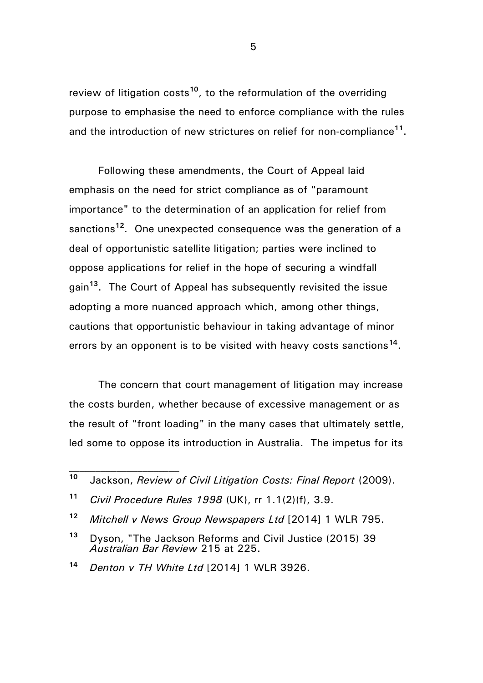review of litigation costs<sup>10</sup>, to the reformulation of the overriding purpose to emphasise the need to enforce compliance with the rules and the introduction of new strictures on relief for non-compliance**<sup>11</sup>** .

Following these amendments, the Court of Appeal laid emphasis on the need for strict compliance as of "paramount importance" to the determination of an application for relief from sanctions**<sup>12</sup>**. One unexpected consequence was the generation of a deal of opportunistic satellite litigation; parties were inclined to oppose applications for relief in the hope of securing a windfall gain**<sup>13</sup>**. The Court of Appeal has subsequently revisited the issue adopting a more nuanced approach which, among other things, cautions that opportunistic behaviour in taking advantage of minor errors by an opponent is to be visited with heavy costs sanctions<sup>14</sup>.

The concern that court management of litigation may increase the costs burden, whether because of excessive management or as the result of "front loading" in the many cases that ultimately settle, led some to oppose its introduction in Australia. The impetus for its

**<sup>10</sup>** Jackson, *Review of Civil Litigation Costs: Final Report* (2009).

**<sup>11</sup>** *Civil Procedure Rules 1998* (UK), rr 1.1(2)(f), 3.9.

**<sup>12</sup>** *Mitchell v News Group Newspapers Ltd* [2014] 1 WLR 795.

**<sup>13</sup>** Dyson, "The Jackson Reforms and Civil Justice (2015) 39 *Australian Bar Review* 215 at 225.

**<sup>14</sup>** *Denton v TH White Ltd* [2014] 1 WLR 3926.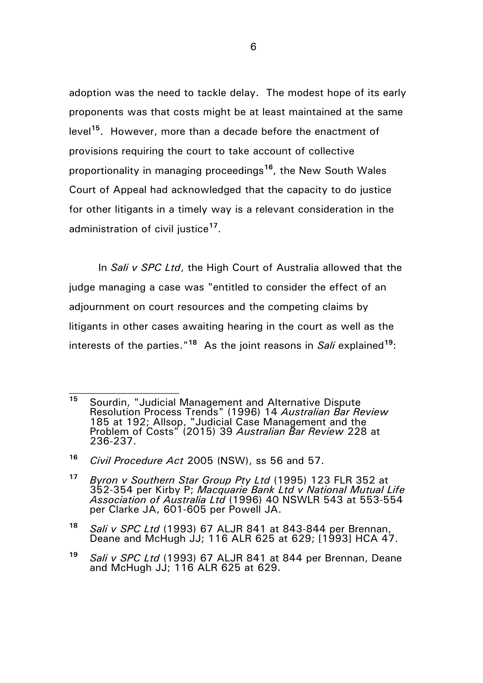adoption was the need to tackle delay. The modest hope of its early proponents was that costs might be at least maintained at the same level**<sup>15</sup>**. However, more than a decade before the enactment of provisions requiring the court to take account of collective proportionality in managing proceedings**<sup>16</sup>**, the New South Wales Court of Appeal had acknowledged that the capacity to do justice for other litigants in a timely way is a relevant consideration in the administration of civil justice**<sup>17</sup>** .

In *Sali v SPC Ltd*, the High Court of Australia allowed that the judge managing a case was "entitled to consider the effect of an adjournment on court resources and the competing claims by litigants in other cases awaiting hearing in the court as well as the interests of the parties."<sup>18</sup> As the joint reasons in *Sali* explained<sup>19</sup>:

**<sup>15</sup>** Sourdin, "Judicial Management and Alternative Dispute Resolution Process Trends" (1996) 14 *Australian Bar Review* 185 at 192; Allsop, "Judicial Case Management and the Problem of Costs" (2015) 39 *Australian Bar Review* 228 at 236-237.

**<sup>16</sup>** *Civil Procedure Act* 2005 (NSW), ss 56 and 57.

**<sup>17</sup>** *Byron v Southern Star Group Pty Ltd* (1995) 123 FLR 352 at 352-354 per Kirby P; *Macquarie Bank Ltd v National Mutual Life Association of Australia Ltd* (1996) 40 NSWLR 543 at 553-554 per Clarke JA, 601-605 per Powell JA.

**<sup>18</sup>** *Sali v SPC Ltd* (1993) 67 ALJR 841 at 843-844 per Brennan, Deane and McHugh JJ; 116 ALR 625 at 629; [1993] HCA 47.

**<sup>19</sup>** *Sali v SPC Ltd* (1993) 67 ALJR 841 at 844 per Brennan, Deane and McHugh JJ; 116 ALR 625 at 629.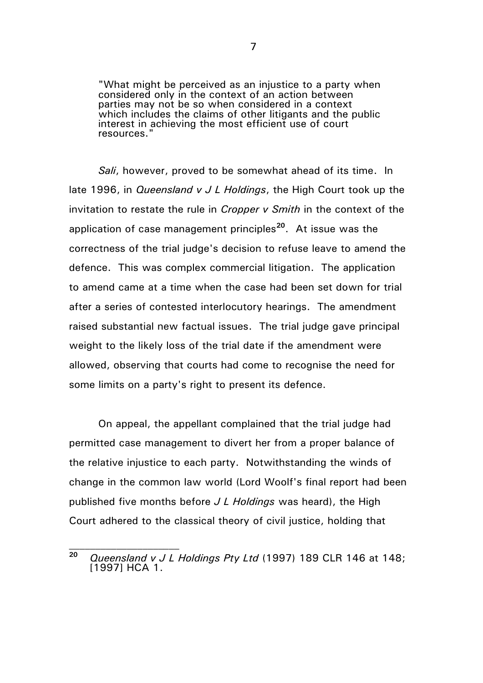"What might be perceived as an injustice to a party when considered only in the context of an action between parties may not be so when considered in a context which includes the claims of other litigants and the public interest in achieving the most efficient use of court resources."

*Sali*, however, proved to be somewhat ahead of its time. In late 1996, in *Queensland v J L Holdings*, the High Court took up the invitation to restate the rule in *Cropper v Smith* in the context of the application of case management principles**<sup>20</sup>** . At issue was the correctness of the trial judge's decision to refuse leave to amend the defence. This was complex commercial litigation. The application to amend came at a time when the case had been set down for trial after a series of contested interlocutory hearings. The amendment raised substantial new factual issues. The trial judge gave principal weight to the likely loss of the trial date if the amendment were allowed, observing that courts had come to recognise the need for some limits on a party's right to present its defence.

On appeal, the appellant complained that the trial judge had permitted case management to divert her from a proper balance of the relative injustice to each party. Notwithstanding the winds of change in the common law world (Lord Woolf's final report had been published five months before *J L Holdings* was heard), the High Court adhered to the classical theory of civil justice, holding that

**<sup>20</sup>** *Queensland v J L Holdings Pty Ltd* (1997) 189 CLR 146 at 148; [1997] HCA 1.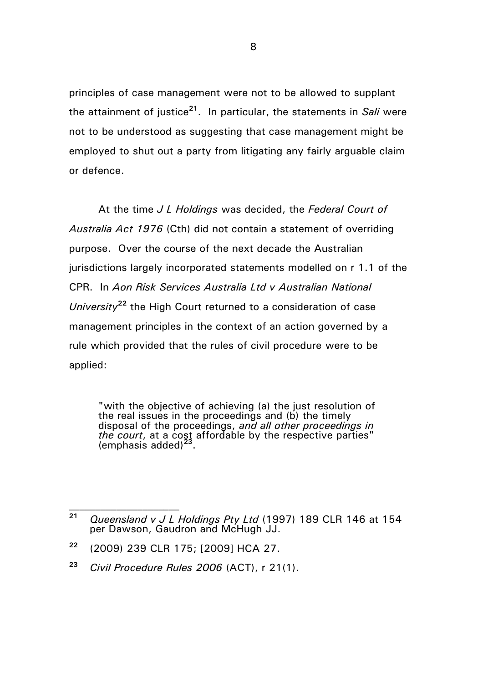principles of case management were not to be allowed to supplant the attainment of justice**<sup>21</sup>** . In particular, the statements in *Sali* were not to be understood as suggesting that case management might be employed to shut out a party from litigating any fairly arguable claim or defence.

At the time *J L Holdings* was decided, the *Federal Court of Australia Act 1976* (Cth) did not contain a statement of overriding purpose. Over the course of the next decade the Australian jurisdictions largely incorporated statements modelled on r 1.1 of the CPR. In *Aon Risk Services Australia Ltd v Australian National University***<sup>22</sup>** the High Court returned to a consideration of case management principles in the context of an action governed by a rule which provided that the rules of civil procedure were to be applied:

"with the objective of achieving (a) the just resolution of the real issues in the proceedings and (b) the timely disposal of the proceedings, *and all other proceedings in the court*, at a cost affordable by the respective parties" (emphasis added)**<sup>23</sup>** .

**<sup>21</sup>** *Queensland v J L Holdings Pty Ltd* (1997) 189 CLR 146 at 154 per Dawson, Gaudron and McHugh JJ.

**<sup>22</sup>** (2009) 239 CLR 175; [2009] HCA 27.

**<sup>23</sup>** *Civil Procedure Rules 2006* (ACT), r 21(1).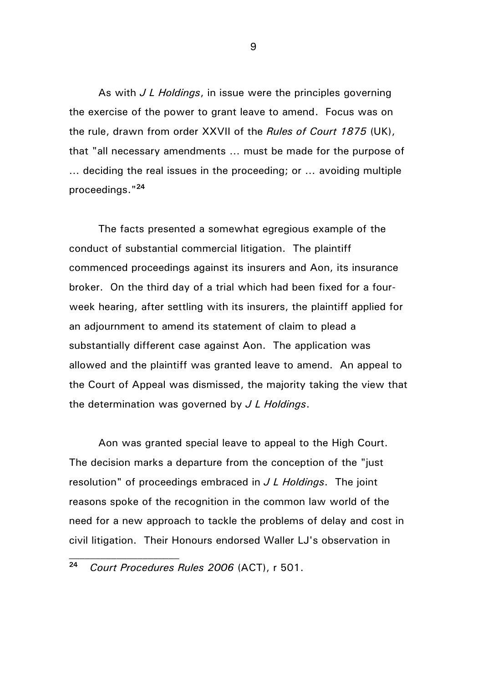As with *J L Holdings*, in issue were the principles governing the exercise of the power to grant leave to amend. Focus was on the rule, drawn from order XXVII of the *Rules of Court 1875* (UK), that "all necessary amendments … must be made for the purpose of … deciding the real issues in the proceeding; or … avoiding multiple proceedings." **24**

The facts presented a somewhat egregious example of the conduct of substantial commercial litigation. The plaintiff commenced proceedings against its insurers and Aon, its insurance broker. On the third day of a trial which had been fixed for a fourweek hearing, after settling with its insurers, the plaintiff applied for an adjournment to amend its statement of claim to plead a substantially different case against Aon. The application was allowed and the plaintiff was granted leave to amend. An appeal to the Court of Appeal was dismissed, the majority taking the view that the determination was governed by *J L Holdings*.

Aon was granted special leave to appeal to the High Court. The decision marks a departure from the conception of the "just resolution" of proceedings embraced in *J L Holdings*. The joint reasons spoke of the recognition in the common law world of the need for a new approach to tackle the problems of delay and cost in civil litigation. Their Honours endorsed Waller LJ's observation in

**<sup>24</sup>** *Court Procedures Rules 2006* (ACT), r 501.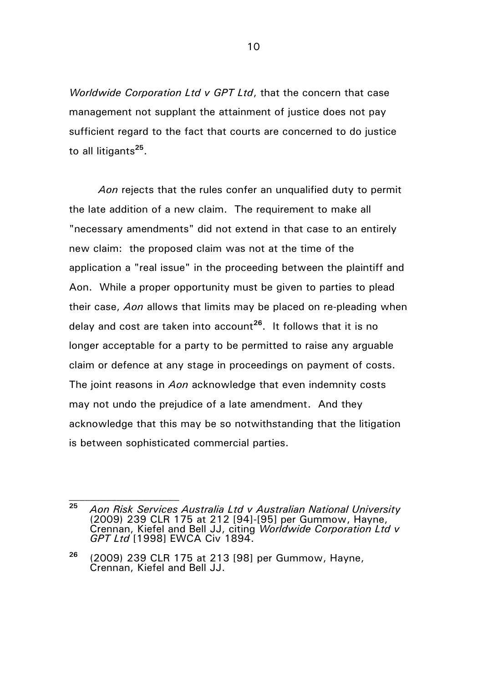*Worldwide Corporation Ltd v GPT Ltd*, that the concern that case management not supplant the attainment of justice does not pay sufficient regard to the fact that courts are concerned to do justice to all litigants**<sup>25</sup>** .

*Aon* rejects that the rules confer an unqualified duty to permit the late addition of a new claim. The requirement to make all "necessary amendments" did not extend in that case to an entirely new claim: the proposed claim was not at the time of the application a "real issue" in the proceeding between the plaintiff and Aon. While a proper opportunity must be given to parties to plead their case, *Aon* allows that limits may be placed on re-pleading when delay and cost are taken into account**<sup>26</sup>**. It follows that it is no longer acceptable for a party to be permitted to raise any arguable claim or defence at any stage in proceedings on payment of costs. The joint reasons in *Aon* acknowledge that even indemnity costs may not undo the prejudice of a late amendment. And they acknowledge that this may be so notwithstanding that the litigation is between sophisticated commercial parties.

**<sup>25</sup>** *Aon Risk Services Australia Ltd v Australian National University* (2009) 239 CLR 175 at 212 [94]-[95] per Gummow, Hayne, Crennan, Kiefel and Bell JJ, citing *Worldwide Corporation Ltd v GPT Ltd* [1998] EWCA Civ 1894.

**<sup>26</sup>** (2009) 239 CLR 175 at 213 [98] per Gummow, Hayne, Crennan, Kiefel and Bell JJ.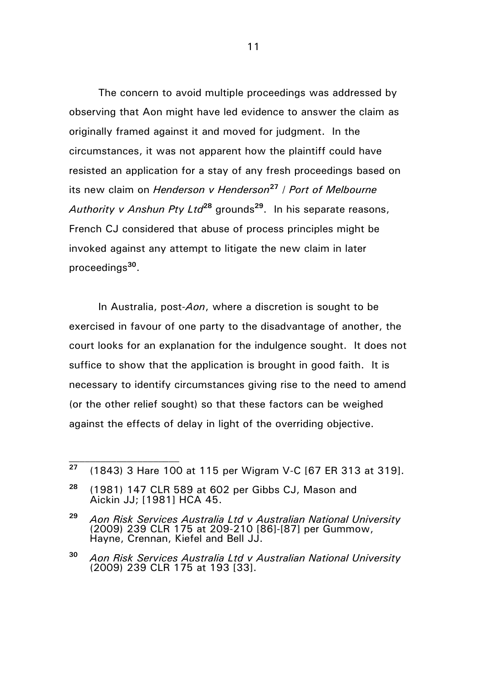The concern to avoid multiple proceedings was addressed by observing that Aon might have led evidence to answer the claim as originally framed against it and moved for judgment. In the circumstances, it was not apparent how the plaintiff could have resisted an application for a stay of any fresh proceedings based on its new claim on *Henderson v Henderson***<sup>27</sup>** / *Port of Melbourne Authority v Anshun Pty Ltd***<sup>28</sup>** grounds**<sup>29</sup>** . In his separate reasons, French CJ considered that abuse of process principles might be invoked against any attempt to litigate the new claim in later proceedings**<sup>30</sup>** .

In Australia, post-*Aon*, where a discretion is sought to be exercised in favour of one party to the disadvantage of another, the court looks for an explanation for the indulgence sought. It does not suffice to show that the application is brought in good faith. It is necessary to identify circumstances giving rise to the need to amend (or the other relief sought) so that these factors can be weighed against the effects of delay in light of the overriding objective.

**<sup>27</sup>** (1843) 3 Hare 100 at 115 per Wigram V-C [67 ER 313 at 319].

**<sup>28</sup>** (1981) 147 CLR 589 at 602 per Gibbs CJ, Mason and Aickin JJ; [1981] HCA 45.

**<sup>29</sup>** *Aon Risk Services Australia Ltd v Australian National University* (2009) 239 CLR 175 at 209-210 [86]-[87] per Gummow, Hayne, Crennan, Kiefel and Bell JJ.

**<sup>30</sup>** *Aon Risk Services Australia Ltd v Australian National University* (2009) 239 CLR 175 at 193 [33].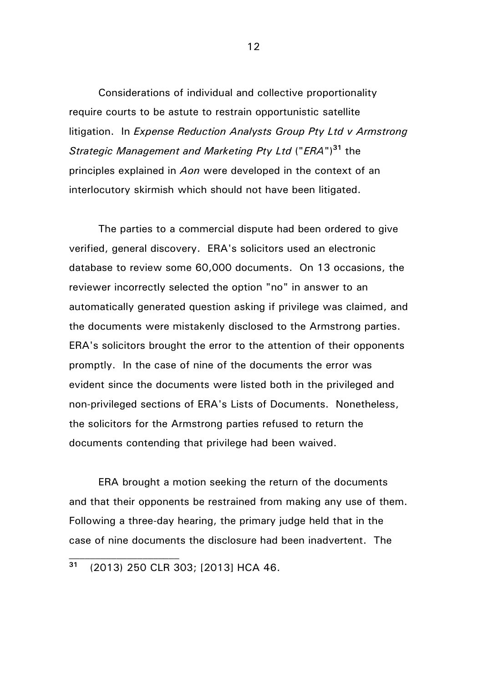Considerations of individual and collective proportionality require courts to be astute to restrain opportunistic satellite litigation. In *Expense Reduction Analysts Group Pty Ltd v Armstrong Strategic Management and Marketing Pty Ltd* ("*ERA*")**<sup>31</sup>** the principles explained in *Aon* were developed in the context of an interlocutory skirmish which should not have been litigated.

The parties to a commercial dispute had been ordered to give verified, general discovery. ERA's solicitors used an electronic database to review some 60,000 documents. On 13 occasions, the reviewer incorrectly selected the option "no" in answer to an automatically generated question asking if privilege was claimed, and the documents were mistakenly disclosed to the Armstrong parties. ERA's solicitors brought the error to the attention of their opponents promptly. In the case of nine of the documents the error was evident since the documents were listed both in the privileged and non-privileged sections of ERA's Lists of Documents. Nonetheless, the solicitors for the Armstrong parties refused to return the documents contending that privilege had been waived.

ERA brought a motion seeking the return of the documents and that their opponents be restrained from making any use of them. Following a three-day hearing, the primary judge held that in the case of nine documents the disclosure had been inadvertent. The

**<sup>31</sup>** (2013) 250 CLR 303; [2013] HCA 46.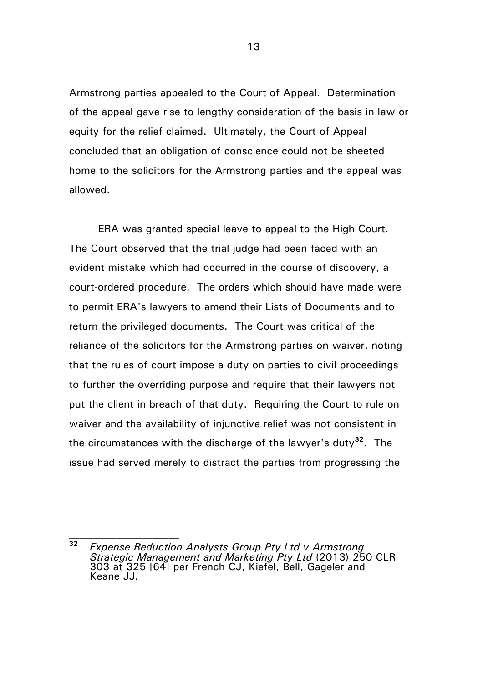Armstrong parties appealed to the Court of Appeal. Determination of the appeal gave rise to lengthy consideration of the basis in law or equity for the relief claimed. Ultimately, the Court of Appeal concluded that an obligation of conscience could not be sheeted home to the solicitors for the Armstrong parties and the appeal was allowed.

ERA was granted special leave to appeal to the High Court. The Court observed that the trial judge had been faced with an evident mistake which had occurred in the course of discovery, a court-ordered procedure. The orders which should have made were to permit ERA's lawyers to amend their Lists of Documents and to return the privileged documents. The Court was critical of the reliance of the solicitors for the Armstrong parties on waiver, noting that the rules of court impose a duty on parties to civil proceedings to further the overriding purpose and require that their lawyers not put the client in breach of that duty. Requiring the Court to rule on waiver and the availability of injunctive relief was not consistent in the circumstances with the discharge of the lawyer's duty**<sup>32</sup>** . The issue had served merely to distract the parties from progressing the

**<sup>32</sup>** *Expense Reduction Analysts Group Pty Ltd v Armstrong Strategic Management and Marketing Pty Ltd* (2013) 250 CLR 303 at 325 [64] per French CJ, Kiefel, Bell, Gageler and Keane JJ.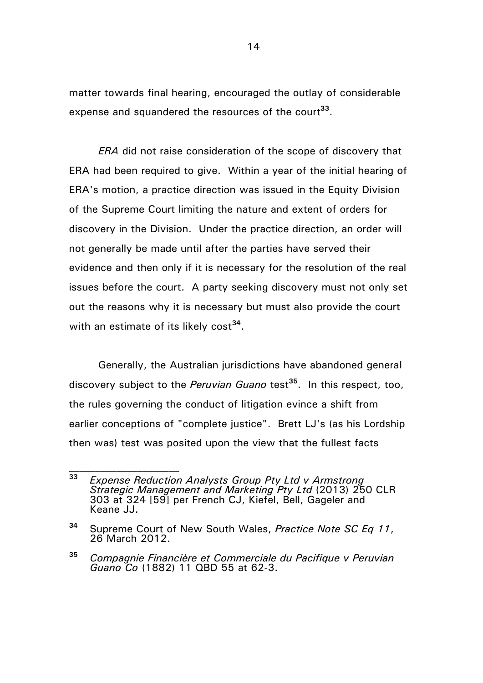matter towards final hearing, encouraged the outlay of considerable expense and squandered the resources of the court**<sup>33</sup>** .

*ERA* did not raise consideration of the scope of discovery that ERA had been required to give. Within a year of the initial hearing of ERA's motion, a practice direction was issued in the Equity Division of the Supreme Court limiting the nature and extent of orders for discovery in the Division. Under the practice direction, an order will not generally be made until after the parties have served their evidence and then only if it is necessary for the resolution of the real issues before the court. A party seeking discovery must not only set out the reasons why it is necessary but must also provide the court with an estimate of its likely cost<sup>34</sup>.

Generally, the Australian jurisdictions have abandoned general discovery subject to the *Peruvian Guano* test**<sup>35</sup>**. In this respect, too, the rules governing the conduct of litigation evince a shift from earlier conceptions of "complete justice". Brett LJ's (as his Lordship then was) test was posited upon the view that the fullest facts

**<sup>33</sup>** *Expense Reduction Analysts Group Pty Ltd v Armstrong Strategic Management and Marketing Pty Ltd* (2013) 250 CLR 303 at 324 [59] per French CJ, Kiefel, Bell, Gageler and Keane JJ.

**<sup>34</sup>** Supreme Court of New South Wales, *Practice Note SC Eq 11*, 26 March 2012.

**<sup>35</sup>** *Compagnie Financière et Commerciale du Pacifique v Peruvian Guano Co* (1882) 11 QBD 55 at 62-3.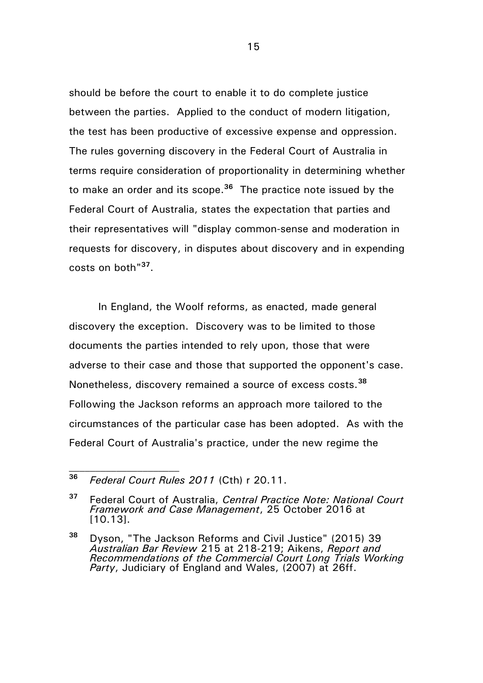should be before the court to enable it to do complete justice between the parties. Applied to the conduct of modern litigation, the test has been productive of excessive expense and oppression. The rules governing discovery in the Federal Court of Australia in terms require consideration of proportionality in determining whether to make an order and its scope.**<sup>36</sup>** The practice note issued by the Federal Court of Australia, states the expectation that parties and their representatives will "display common-sense and moderation in requests for discovery, in disputes about discovery and in expending costs on both"**<sup>37</sup>** .

In England, the Woolf reforms, as enacted, made general discovery the exception. Discovery was to be limited to those documents the parties intended to rely upon, those that were adverse to their case and those that supported the opponent's case. Nonetheless, discovery remained a source of excess costs.**<sup>38</sup>** Following the Jackson reforms an approach more tailored to the circumstances of the particular case has been adopted. As with the Federal Court of Australia's practice, under the new regime the

**<sup>36</sup>** *Federal Court Rules 2011* (Cth) r 20.11.

**<sup>37</sup>** Federal Court of Australia, *Central Practice Note: National Court Framework and Case Management*, 25 October 2016 at [10.13].

**<sup>38</sup>** Dyson, "The Jackson Reforms and Civil Justice" (2015) 39 *Australian Bar Review* 215 at 218-219; Aikens, *Report and Recommendations of the Commercial Court Long Trials Working Party*, Judiciary of England and Wales, (2007) at 26ff.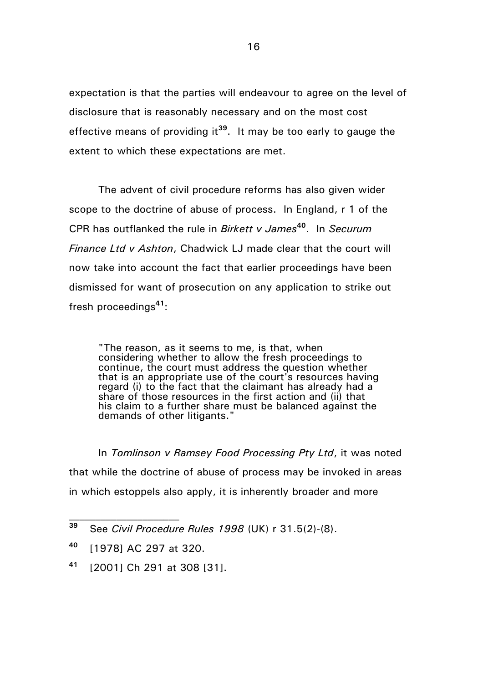expectation is that the parties will endeavour to agree on the level of disclosure that is reasonably necessary and on the most cost effective means of providing it**<sup>39</sup>**. It may be too early to gauge the extent to which these expectations are met.

The advent of civil procedure reforms has also given wider scope to the doctrine of abuse of process. In England, r 1 of the CPR has outflanked the rule in *Birkett v James***<sup>40</sup>**. In *Securum Finance Ltd v Ashton*, Chadwick LJ made clear that the court will now take into account the fact that earlier proceedings have been dismissed for want of prosecution on any application to strike out fresh proceedings**<sup>41</sup>**:

"The reason, as it seems to me, is that, when considering whether to allow the fresh proceedings to continue, the court must address the question whether that is an appropriate use of the court's resources having regard (i) to the fact that the claimant has already had a share of those resources in the first action and (ii) that his claim to a further share must be balanced against the demands of other litigants."

In *Tomlinson v Ramsey Food Processing Pty Ltd*, it was noted that while the doctrine of abuse of process may be invoked in areas in which estoppels also apply, it is inherently broader and more

**<sup>41</sup>** [2001] Ch 291 at 308 [31].

**<sup>39</sup>** See *Civil Procedure Rules 1998* (UK) r 31.5(2)-(8).

**<sup>40</sup>** [1978] AC 297 at 320.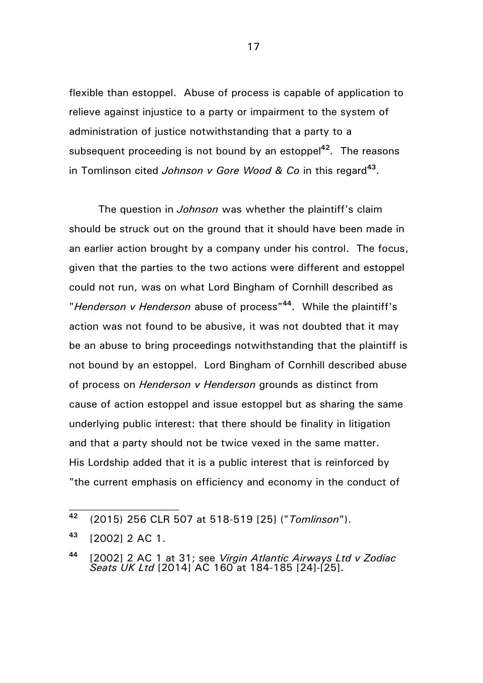flexible than estoppel. Abuse of process is capable of application to relieve against injustice to a party or impairment to the system of administration of justice notwithstanding that a party to a subsequent proceeding is not bound by an estoppel**<sup>42</sup>** . The reasons in Tomlinson cited *Johnson v Gore Wood & Co* in this regard**<sup>43</sup>** .

The question in *Johnson* was whether the plaintiff's claim should be struck out on the ground that it should have been made in an earlier action brought by a company under his control. The focus, given that the parties to the two actions were different and estoppel could not run, was on what Lord Bingham of Cornhill described as "*Henderson v Henderson* abuse of process"**<sup>44</sup>**. While the plaintiff's action was not found to be abusive, it was not doubted that it may be an abuse to bring proceedings notwithstanding that the plaintiff is not bound by an estoppel. Lord Bingham of Cornhill described abuse of process on *Henderson v Henderson* grounds as distinct from cause of action estoppel and issue estoppel but as sharing the same underlying public interest: that there should be finality in litigation and that a party should not be twice vexed in the same matter. His Lordship added that it is a public interest that is reinforced by "the current emphasis on efficiency and economy in the conduct of

**<sup>42</sup>** (2015) 256 CLR 507 at 518-519 [25] ("*Tomlinson*").

**<sup>43</sup>** [2002] 2 AC 1.

**<sup>44</sup>** [2002] 2 AC 1 at 31; see *Virgin Atlantic Airways Ltd v Zodiac Seats UK Ltd* [2014] AC 160 at 184-185 [24]-[25].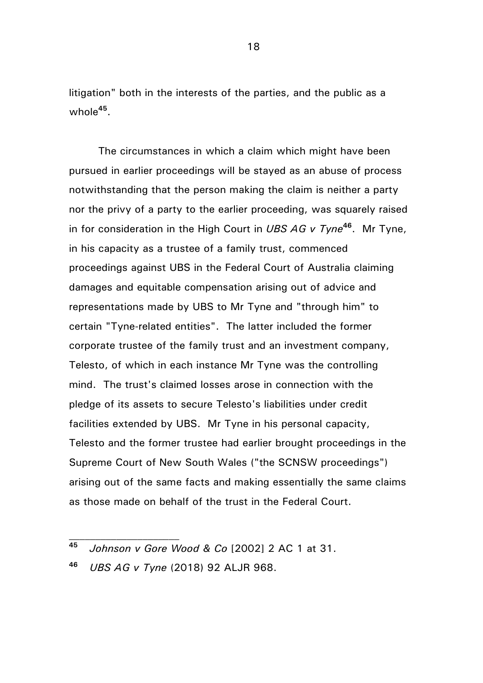litigation" both in the interests of the parties, and the public as a whole**<sup>45</sup>** .

The circumstances in which a claim which might have been pursued in earlier proceedings will be stayed as an abuse of process notwithstanding that the person making the claim is neither a party nor the privy of a party to the earlier proceeding, was squarely raised in for consideration in the High Court in *UBS AG v Tyne***<sup>46</sup>**. Mr Tyne, in his capacity as a trustee of a family trust, commenced proceedings against UBS in the Federal Court of Australia claiming damages and equitable compensation arising out of advice and representations made by UBS to Mr Tyne and "through him" to certain "Tyne-related entities". The latter included the former corporate trustee of the family trust and an investment company, Telesto, of which in each instance Mr Tyne was the controlling mind. The trust's claimed losses arose in connection with the pledge of its assets to secure Telesto's liabilities under credit facilities extended by UBS. Mr Tyne in his personal capacity, Telesto and the former trustee had earlier brought proceedings in the Supreme Court of New South Wales ("the SCNSW proceedings") arising out of the same facts and making essentially the same claims as those made on behalf of the trust in the Federal Court.

**<sup>46</sup>** *UBS AG v Tyne* (2018) 92 ALJR 968.

**<sup>45</sup>** *Johnson v Gore Wood & Co* [2002] 2 AC 1 at 31.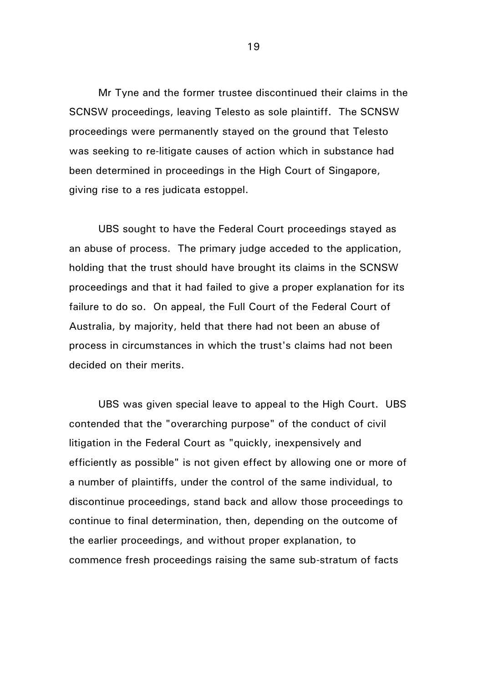Mr Tyne and the former trustee discontinued their claims in the SCNSW proceedings, leaving Telesto as sole plaintiff. The SCNSW proceedings were permanently stayed on the ground that Telesto was seeking to re-litigate causes of action which in substance had been determined in proceedings in the High Court of Singapore, giving rise to a res judicata estoppel.

UBS sought to have the Federal Court proceedings stayed as an abuse of process. The primary judge acceded to the application, holding that the trust should have brought its claims in the SCNSW proceedings and that it had failed to give a proper explanation for its failure to do so. On appeal, the Full Court of the Federal Court of Australia, by majority, held that there had not been an abuse of process in circumstances in which the trust's claims had not been decided on their merits.

UBS was given special leave to appeal to the High Court. UBS contended that the "overarching purpose" of the conduct of civil litigation in the Federal Court as "quickly, inexpensively and efficiently as possible" is not given effect by allowing one or more of a number of plaintiffs, under the control of the same individual, to discontinue proceedings, stand back and allow those proceedings to continue to final determination, then, depending on the outcome of the earlier proceedings, and without proper explanation, to commence fresh proceedings raising the same sub-stratum of facts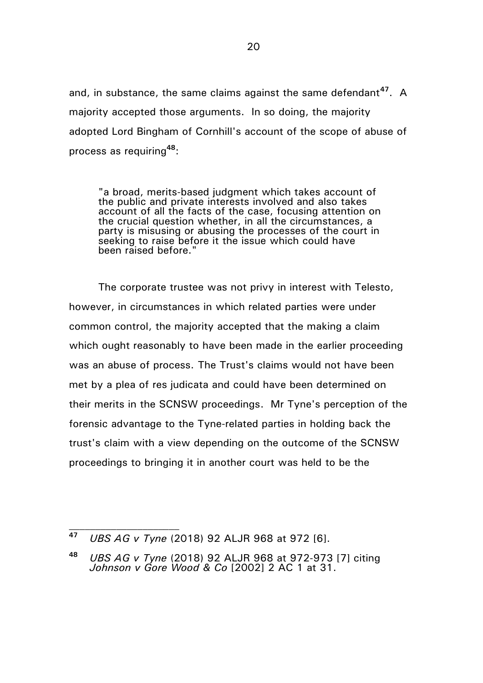and, in substance, the same claims against the same defendant**<sup>47</sup>**. A majority accepted those arguments. In so doing, the majority adopted Lord Bingham of Cornhill's account of the scope of abuse of process as requiring**<sup>48</sup>**:

"a broad, merits-based judgment which takes account of the public and private interests involved and also takes account of all the facts of the case, focusing attention on the crucial question whether, in all the circumstances, a party is misusing or abusing the processes of the court in seeking to raise before it the issue which could have been raised before."

The corporate trustee was not privy in interest with Telesto, however, in circumstances in which related parties were under common control, the majority accepted that the making a claim which ought reasonably to have been made in the earlier proceeding was an abuse of process. The Trust's claims would not have been met by a plea of res judicata and could have been determined on their merits in the SCNSW proceedings. Mr Tyne's perception of the forensic advantage to the Tyne-related parties in holding back the trust's claim with a view depending on the outcome of the SCNSW proceedings to bringing it in another court was held to be the

**<sup>47</sup>** *UBS AG v Tyne* (2018) 92 ALJR 968 at 972 [6].

**<sup>48</sup>** *UBS AG v Tyne* (2018) 92 ALJR 968 at 972-973 [7] citing *Johnson v Gore Wood & Co* [2002] 2 AC 1 at 31.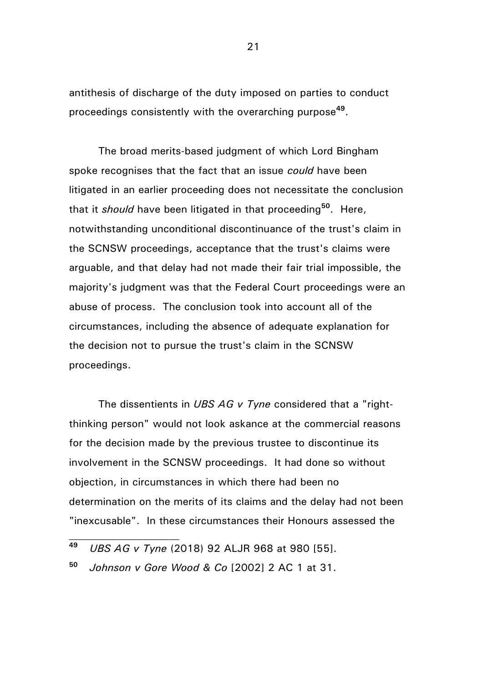antithesis of discharge of the duty imposed on parties to conduct proceedings consistently with the overarching purpose**<sup>49</sup>** .

The broad merits-based judgment of which Lord Bingham spoke recognises that the fact that an issue *could* have been litigated in an earlier proceeding does not necessitate the conclusion that it *should* have been litigated in that proceeding**<sup>50</sup>**. Here, notwithstanding unconditional discontinuance of the trust's claim in the SCNSW proceedings, acceptance that the trust's claims were arguable, and that delay had not made their fair trial impossible, the majority's judgment was that the Federal Court proceedings were an abuse of process. The conclusion took into account all of the circumstances, including the absence of adequate explanation for the decision not to pursue the trust's claim in the SCNSW proceedings.

The dissentients in *UBS AG v Tyne* considered that a "rightthinking person" would not look askance at the commercial reasons for the decision made by the previous trustee to discontinue its involvement in the SCNSW proceedings. It had done so without objection, in circumstances in which there had been no determination on the merits of its claims and the delay had not been "inexcusable". In these circumstances their Honours assessed the

**<sup>49</sup>** *UBS AG v Tyne* (2018) 92 ALJR 968 at 980 [55].

**<sup>50</sup>** *Johnson v Gore Wood & Co* [2002] 2 AC 1 at 31.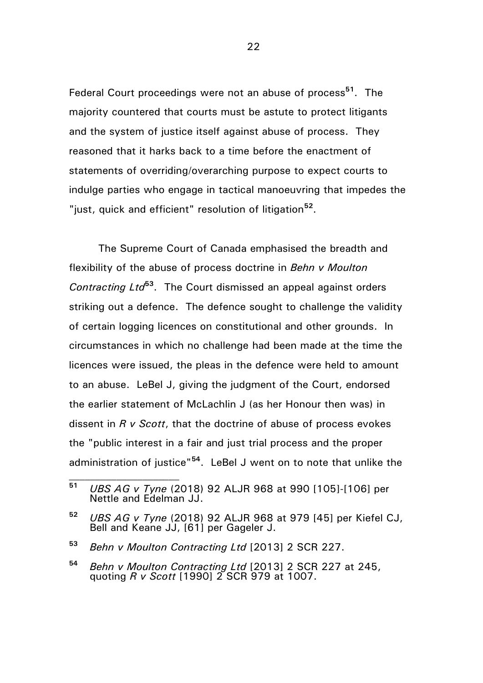Federal Court proceedings were not an abuse of process**<sup>51</sup>**. The majority countered that courts must be astute to protect litigants and the system of justice itself against abuse of process. They reasoned that it harks back to a time before the enactment of statements of overriding/overarching purpose to expect courts to indulge parties who engage in tactical manoeuvring that impedes the "just, quick and efficient" resolution of litigation<sup>52</sup>.

The Supreme Court of Canada emphasised the breadth and flexibility of the abuse of process doctrine in *Behn v Moulton Contracting Ltd***<sup>53</sup>**. The Court dismissed an appeal against orders striking out a defence. The defence sought to challenge the validity of certain logging licences on constitutional and other grounds. In circumstances in which no challenge had been made at the time the licences were issued, the pleas in the defence were held to amount to an abuse. LeBel J, giving the judgment of the Court, endorsed the earlier statement of McLachlin J (as her Honour then was) in dissent in *R v Scott*, that the doctrine of abuse of process evokes the "public interest in a fair and just trial process and the proper administration of justice"**<sup>54</sup>**. LeBel J went on to note that unlike the

**<sup>51</sup>** *UBS AG v Tyne* (2018) 92 ALJR 968 at 990 [105]-[106] per Nettle and Edelman JJ.

**<sup>52</sup>** *UBS AG v Tyne* (2018) 92 ALJR 968 at 979 [45] per Kiefel CJ, Bell and Keane JJ, [61] per Gageler J.

**<sup>53</sup>** *Behn v Moulton Contracting Ltd* [2013] 2 SCR 227.

**<sup>54</sup>** *Behn v Moulton Contracting Ltd* [2013] 2 SCR 227 at 245, quoting *R v Scott* [1990] 2 SCR 979 at 1007.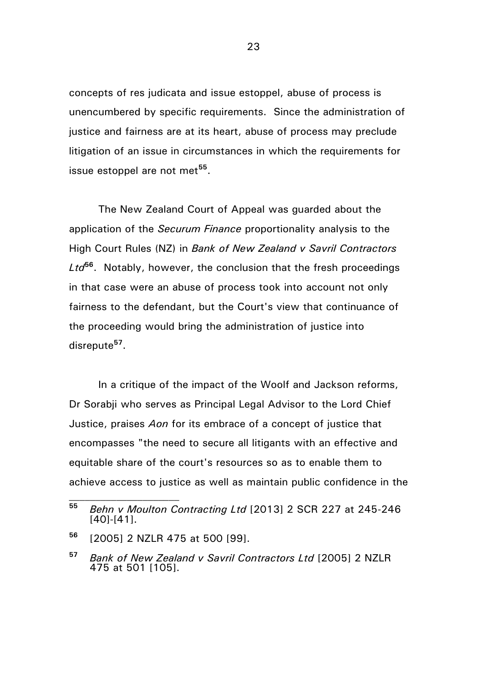concepts of res judicata and issue estoppel, abuse of process is unencumbered by specific requirements. Since the administration of justice and fairness are at its heart, abuse of process may preclude litigation of an issue in circumstances in which the requirements for issue estoppel are not met**<sup>55</sup>** .

The New Zealand Court of Appeal was guarded about the application of the *Securum Finance* proportionality analysis to the High Court Rules (NZ) in *Bank of New Zealand v Savril Contractors Ltd***<sup>56</sup>**. Notably, however, the conclusion that the fresh proceedings in that case were an abuse of process took into account not only fairness to the defendant, but the Court's view that continuance of the proceeding would bring the administration of justice into disrepute**<sup>57</sup>** .

In a critique of the impact of the Woolf and Jackson reforms, Dr Sorabii who serves as Principal Legal Advisor to the Lord Chief Justice, praises *Aon* for its embrace of a concept of justice that encompasses "the need to secure all litigants with an effective and equitable share of the court's resources so as to enable them to achieve access to justice as well as maintain public confidence in the

**<sup>55</sup>** *Behn v Moulton Contracting Ltd* [2013] 2 SCR 227 at 245-246 [40]-[41].

**<sup>56</sup>** [2005] 2 NZLR 475 at 500 [99].

**<sup>57</sup>** *Bank of New Zealand v Savril Contractors Ltd* [2005] 2 NZLR 475 at 501 [105].